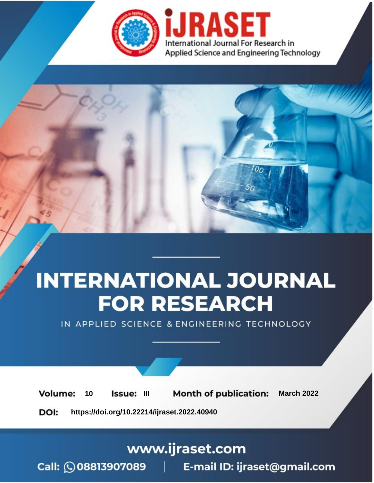

# **INTERNATIONAL JOURNAL FOR RESEARCH**

IN APPLIED SCIENCE & ENGINEERING TECHNOLOGY

10 **Issue: III Month of publication:** March 2022 **Volume:** 

**https://doi.org/10.22214/ijraset.2022.40940**DOI:

www.ijraset.com

Call: 008813907089 | E-mail ID: ijraset@gmail.com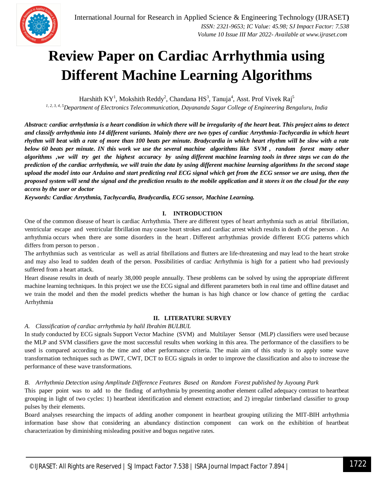

### **Review Paper on Cardiac Arrhythmia using Different Machine Learning Algorithms**

Harshith  $KY^1$ , Mokshith Reddy<sup>2</sup>, Chandana HS<sup>3</sup>, Tanuja<sup>4</sup>, Asst. Prof Vivek Raj<sup>5</sup>

*1, 2, 3, 4, 5Department of Electronics Telecommunication, Dayananda Sagar College of Engineering Bengaluru, India*

*Abstract: cardiac arrhythmia is a heart condition in which there will be irregularity of the heart beat. This project aims to detect and classify arrhythmia into 14 different variants. Mainly there are two types of cardiac Arrythmia-Tachycardia in which heart rhythm will beat with a rate of more than 100 beats per minute. Bradycardia in which heart rhythm will be slow with a rate below 60 beats per minute. IN this work we use the several machine algorithms like SVM , random forest many other algorithms ,we will try get the highest accuracy by using different machine learning tools in three steps we can do the prediction of the cardiac arrhythmia, we will train the data by using different machine learning algorithms In the second stage upload the model into our Arduino and start predicting real ECG signal which get from the ECG sensor we are using, then the proposed system will send the signal and the prediction results to the mobile application and it stores it on the cloud for the easy access by the user or doctor*

*Keywords: Cardiac Arrythmia, Tachycardia, Bradycardia, ECG sensor, Machine Learning.*

#### **I. INTRODUCTION**

One of the common disease of heart is cardiac Arrhythmia. There are different types of heart arrhythmia such as atrial fibrillation, ventricular escape and ventricular fibrillation may cause heart strokes and cardiac arrest which results in death of the person . An arrhythmia occurs when there are some disorders in the heart . Different arrhythmias provide different ECG patterns which differs from person to person.

The arrhythmias such as ventricular as well as atrial fibrillations and flutters are life-threatening and may lead to the heart stroke and may also lead to sudden death of the person. Possibilities of cardiac Arrhythmia is high for a patient who had previously suffered from a heart attack.

Heart disease results in death of nearly 38,000 people annually. These problems can be solved by using the appropriate different machine learning techniques. In this project we use the ECG signal and different parameters both in real time and offline dataset and we train the model and then the model predicts whether the human is has high chance or low chance of getting the cardiac Arrhythmia

#### **II. LITERATURE SURVEY**

#### *A. Classification of cardiac arrhythmia by halil Ibrahim BULBUL*

In study conducted by ECG signals Support Vector Machine (SVM) and Multilayer Sensor (MLP) classifiers were used because the MLP and SVM classifiers gave the most successful results when working in this area. The performance of the classifiers to be used is compared according to the time and other performance criteria. The main aim of this study is to apply some wave transformation techniques such as DWT, CWT, DCT to ECG signals in order to improve the classification and also to increase the performance of these wave transformations.

#### *B. Arrhythmia Detection using Amplitude Difference Features Based on Random Forest published by Juyoung Park*

This paper point was to add to the finding of arrhythmia by presenting another element called adequacy contrast to heartbeat grouping in light of two cycles: 1) heartbeat identification and element extraction; and 2) irregular timberland classifier to group pulses by their elements.

Board analyses researching the impacts of adding another component in heartbeat grouping utilizing the MIT-BIH arrhythmia information base show that considering an abundancy distinction component can work on the exhibition of heartbeat characterization by diminishing misleading positive and bogus negative rates.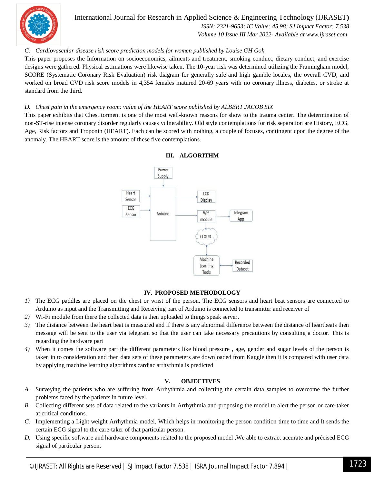

International Journal for Research in Applied Science & Engineering Technology (IJRASET**)**  *ISSN: 2321-9653; IC Value: 45.98; SJ Impact Factor: 7.538 Volume 10 Issue III Mar 2022- Available at www.ijraset.com*

#### *C. Cardiovascular disease risk score prediction models for women published by Louise GH Goh*

This paper proposes the Information on socioeconomics, ailments and treatment, smoking conduct, dietary conduct, and exercise designs were gathered. Physical estimations were likewise taken. The 10-year risk was determined utilizing the Framingham model, SCORE (Systematic Coronary Risk Evaluation) risk diagram for generally safe and high gamble locales, the overall CVD, and worked on broad CVD risk score models in 4,354 females matured 20-69 years with no coronary illness, diabetes, or stroke at standard from the third.

#### *D. Chest pain in the emergency room: value of the HEART score published by ALBERT JACOB SIX*

This paper exhibits that Chest torment is one of the most well-known reasons for show to the trauma center. The determination of non-ST-rise intense coronary disorder regularly causes vulnerability. Old style contemplations for risk separation are History, ECG, Age, Risk factors and Troponin (HEART). Each can be scored with nothing, a couple of focuses, contingent upon the degree of the anomaly. The HEART score is the amount of these five contemplations.



#### **III. ALGORITHM**

#### **IV. PROPOSED METHODOLOGY**

- *1)* The ECG paddles are placed on the chest or wrist of the person. The ECG sensors and heart beat sensors are connected to Arduino as input and the Transmitting and Receiving part of Arduino is connected to transmitter and receiver of
- *2)* Wi-Fi module from there the collected data is then uploaded to things speak server.
- *3)* The distance between the heart beat is measured and if there is any abnormal difference between the distance of heartbeats then message will be sent to the user via telegram so that the user can take necessary precautions by consulting a doctor. This is regarding the hardware part
- *4)* When it comes the software part the different parameters like blood pressure , age, gender and sugar levels of the person is taken in to consideration and then data sets of these parameters are downloaded from Kaggle then it is compared with user data by applying machine learning algorithms cardiac arrhythmia is predicted

#### **V. OBJECTIVES**

- *A.* Surveying the patients who are suffering from Arrhythmia and collecting the certain data samples to overcome the further problems faced by the patients in future level.
- *B.* Collecting different sets of data related to the variants in Arrhythmia and proposing the model to alert the person or care-taker at critical conditions.
- *C.* Implementing a Light weight Arrhythmia model, Which helps in monitoring the person condition time to time and It sends the certain ECG signal to the care-taker of that particular person.
- *D.* Using specific software and hardware components related to the proposed model ,We able to extract accurate and précised ECG signal of particular person.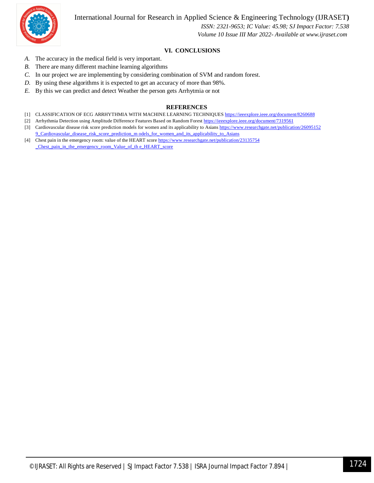International Journal for Research in Applied Science & Engineering Technology (IJRASET**)**



 *ISSN: 2321-9653; IC Value: 45.98; SJ Impact Factor: 7.538 Volume 10 Issue III Mar 2022- Available at www.ijraset.com*

#### **VI. CONCLUSIONS**

- *A.* The accuracy in the medical field is very important.
- *B.* There are many different machine learning algorithms
- *C.* In our project we are implementing by considering combination of SVM and random forest.
- *D.* By using these algorithms it is expected to get an accuracy of more than 98%.
- *E.* By this we can predict and detect Weather the person gets Arrhytmia or not

#### **REFERENCES**

- [1] CLASSIFICATION OF ECG ARRHYTHMIA WITH MACHINE LEARNING TECHNIQUES https://ieeexplore.ieee.org/document/8260688
- [2] Arrhythmia Detection using Amplitude Difference Features Based on Random Forest https://ieeexplore.ieee.org/document/7319561
- [3] Cardiovascular disease risk score prediction models for women and its applicability to Asians https://www.researchgate.net/publication/26095152 9\_Cardiovascular\_disease\_risk\_score\_prediction\_m odels\_for\_women\_and\_its\_applicability\_to\_Asians
- [4] Chest pain in the emergency room: value of the HEART score https://www.researchgate.net/publication/23135754 \_Chest\_pain\_in\_the\_emergency\_room\_Value\_of\_th e\_HEART\_score